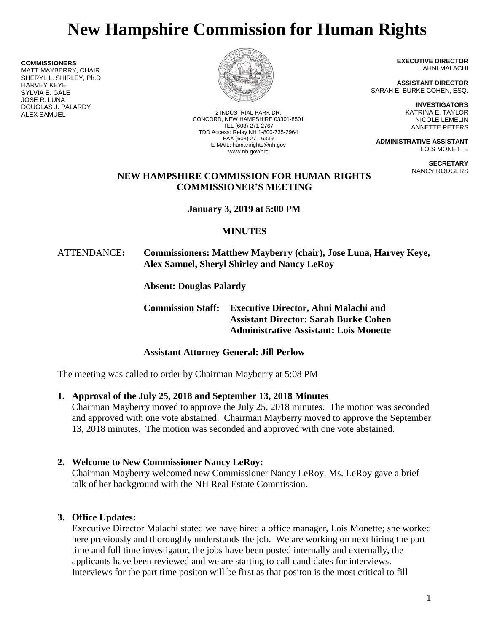# **New Hampshire Commission for Human Rights**

**COMMISSIONERS**

MATT MAYBERRY, CHAIR SHERYL L. SHIRLEY, Ph.D HARVEY KEYE SYLVIA E. GALE JOSE R. LUNA DOUGLAS J. PALARDY



2 INDUSTRIAL PARK DR. CONCORD, NEW HAMPSHIRE 03301-8501 TEL (603) 271-2767 TDD Access: Relay NH 1-800-735-2964 FAX (603) 271-6339 E-MAIL: humanrights@nh.gov www.nh.gov/hrc

**EXECUTIVE DIRECTOR** AHNI MALACHI

**ASSISTANT DIRECTOR** SARAH E. BURKE COHEN, ESQ.

> **INVESTIGATORS** KATRINA E. TAYLOR NICOLE LEMELIN ANNETTE PETERS

**ADMINISTRATIVE ASSISTANT** LOIS MONETTE

> **SECRETARY** NANCY RODGERS

# **NEW HAMPSHIRE COMMISSION FOR HUMAN RIGHTS COMMISSIONER'S MEETING**

**January 3, 2019 at 5:00 PM**

# **MINUTES**

# ATTENDANCE**: Commissioners: Matthew Mayberry (chair), Jose Luna, Harvey Keye, Alex Samuel, Sheryl Shirley and Nancy LeRoy**

**Absent: Douglas Palardy**

**Commission Staff: Executive Director, Ahni Malachi and Assistant Director: Sarah Burke Cohen Administrative Assistant: Lois Monette**

# **Assistant Attorney General: Jill Perlow**

The meeting was called to order by Chairman Mayberry at 5:08 PM

# **1. Approval of the July 25, 2018 and September 13, 2018 Minutes**

Chairman Mayberry moved to approve the July 25, 2018 minutes. The motion was seconded and approved with one vote abstained. Chairman Mayberry moved to approve the September 13, 2018 minutes. The motion was seconded and approved with one vote abstained.

# **2. Welcome to New Commissioner Nancy LeRoy:**

Chairman Mayberry welcomed new Commissioner Nancy LeRoy. Ms. LeRoy gave a brief talk of her background with the NH Real Estate Commission.

# **3. Office Updates:**

Executive Director Malachi stated we have hired a office manager, Lois Monette; she worked here previously and thoroughly understands the job. We are working on next hiring the part time and full time investigator, the jobs have been posted internally and externally, the applicants have been reviewed and we are starting to call candidates for interviews. Interviews for the part time positon will be first as that positon is the most critical to fill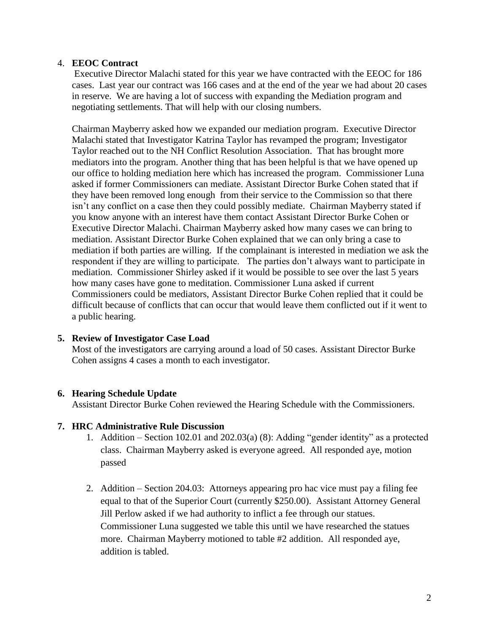### 4. **EEOC Contract**

Executive Director Malachi stated for this year we have contracted with the EEOC for 186 cases. Last year our contract was 166 cases and at the end of the year we had about 20 cases in reserve. We are having a lot of success with expanding the Mediation program and negotiating settlements. That will help with our closing numbers.

Chairman Mayberry asked how we expanded our mediation program. Executive Director Malachi stated that Investigator Katrina Taylor has revamped the program; Investigator Taylor reached out to the NH Conflict Resolution Association. That has brought more mediators into the program. Another thing that has been helpful is that we have opened up our office to holding mediation here which has increased the program. Commissioner Luna asked if former Commissioners can mediate. Assistant Director Burke Cohen stated that if they have been removed long enough from their service to the Commission so that there isn't any conflict on a case then they could possibly mediate. Chairman Mayberry stated if you know anyone with an interest have them contact Assistant Director Burke Cohen or Executive Director Malachi. Chairman Mayberry asked how many cases we can bring to mediation. Assistant Director Burke Cohen explained that we can only bring a case to mediation if both parties are willing. If the complainant is interested in mediation we ask the respondent if they are willing to participate. The parties don't always want to participate in mediation. Commissioner Shirley asked if it would be possible to see over the last 5 years how many cases have gone to meditation. Commissioner Luna asked if current Commissioners could be mediators, Assistant Director Burke Cohen replied that it could be difficult because of conflicts that can occur that would leave them conflicted out if it went to a public hearing.

# **5. Review of Investigator Case Load**

Most of the investigators are carrying around a load of 50 cases. Assistant Director Burke Cohen assigns 4 cases a month to each investigator.

#### **6. Hearing Schedule Update**

Assistant Director Burke Cohen reviewed the Hearing Schedule with the Commissioners.

#### **7. HRC Administrative Rule Discussion**

- 1. Addition Section 102.01 and 202.03(a) (8): Adding "gender identity" as a protected class. Chairman Mayberry asked is everyone agreed. All responded aye, motion passed
- 2. Addition Section 204.03: Attorneys appearing pro hac vice must pay a filing fee equal to that of the Superior Court (currently \$250.00). Assistant Attorney General Jill Perlow asked if we had authority to inflict a fee through our statues. Commissioner Luna suggested we table this until we have researched the statues more. Chairman Mayberry motioned to table #2 addition. All responded aye, addition is tabled.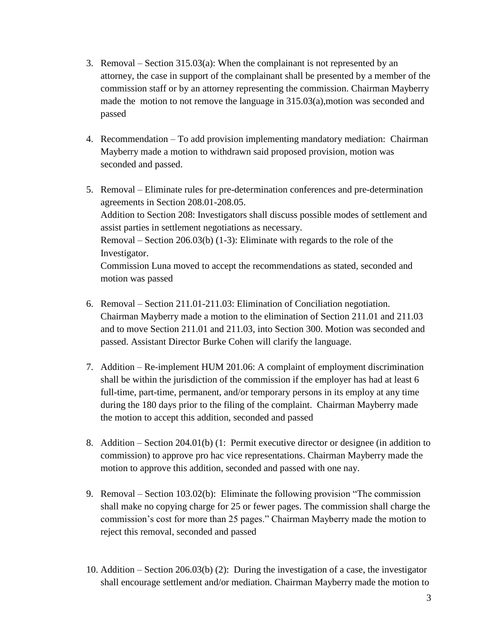- 3. Removal Section  $315.03(a)$ : When the complainant is not represented by an attorney, the case in support of the complainant shall be presented by a member of the commission staff or by an attorney representing the commission. Chairman Mayberry made the motion to not remove the language in 315.03(a),motion was seconded and passed
- 4. Recommendation To add provision implementing mandatory mediation: Chairman Mayberry made a motion to withdrawn said proposed provision, motion was seconded and passed.
- 5. Removal Eliminate rules for pre-determination conferences and pre-determination agreements in Section 208.01-208.05. Addition to Section 208: Investigators shall discuss possible modes of settlement and assist parties in settlement negotiations as necessary. Removal – Section 206.03(b) (1-3): Eliminate with regards to the role of the Investigator. Commission Luna moved to accept the recommendations as stated, seconded and motion was passed
- 6. Removal Section 211.01-211.03: Elimination of Conciliation negotiation. Chairman Mayberry made a motion to the elimination of Section 211.01 and 211.03 and to move Section 211.01 and 211.03, into Section 300. Motion was seconded and passed. Assistant Director Burke Cohen will clarify the language.
- 7. Addition Re-implement HUM 201.06: A complaint of employment discrimination shall be within the jurisdiction of the commission if the employer has had at least 6 full-time, part-time, permanent, and/or temporary persons in its employ at any time during the 180 days prior to the filing of the complaint. Chairman Mayberry made the motion to accept this addition, seconded and passed
- 8. Addition Section 204.01(b) (1: Permit executive director or designee (in addition to commission) to approve pro hac vice representations. Chairman Mayberry made the motion to approve this addition, seconded and passed with one nay.
- 9. Removal Section 103.02(b): Eliminate the following provision "The commission shall make no copying charge for 25 or fewer pages. The commission shall charge the commission's cost for more than 25 pages." Chairman Mayberry made the motion to reject this removal, seconded and passed
- 10. Addition Section 206.03(b) (2): During the investigation of a case, the investigator shall encourage settlement and/or mediation. Chairman Mayberry made the motion to